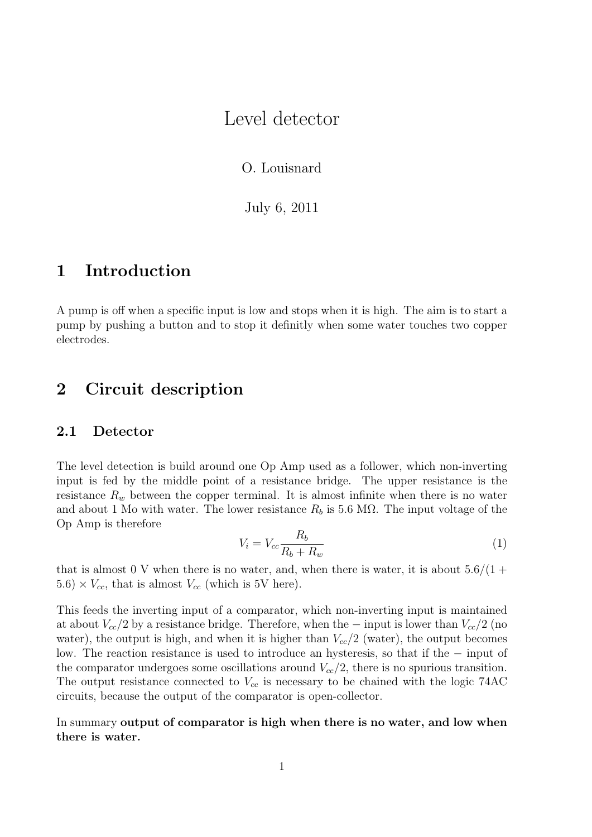# Level detector

O. Louisnard

July 6, 2011

# 1 Introduction

A pump is off when a specific input is low and stops when it is high. The aim is to start a pump by pushing a button and to stop it definitly when some water touches two copper electrodes.

# 2 Circuit description

### 2.1 Detector

The level detection is build around one Op Amp used as a follower, which non-inverting input is fed by the middle point of a resistance bridge. The upper resistance is the resistance  $R_w$  between the copper terminal. It is almost infinite when there is no water and about 1 Mo with water. The lower resistance  $R_b$  is 5.6 M $\Omega$ . The input voltage of the Op Amp is therefore

$$
V_i = V_{cc} \frac{R_b}{R_b + R_w} \tag{1}
$$

that is almost 0 V when there is no water, and, when there is water, it is about  $5.6/(1 +$  $5.6) \times V_{cc}$ , that is almost  $V_{cc}$  (which is 5V here).

This feeds the inverting input of a comparator, which non-inverting input is maintained at about  $V_{cc}/2$  by a resistance bridge. Therefore, when the – input is lower than  $V_{cc}/2$  (no water), the output is high, and when it is higher than  $V_{cc}/2$  (water), the output becomes low. The reaction resistance is used to introduce an hysteresis, so that if the − input of the comparator undergoes some oscillations around  $V_{cc}/2$ , there is no spurious transition. The output resistance connected to  $V_{cc}$  is necessary to be chained with the logic 74AC circuits, because the output of the comparator is open-collector.

In summary output of comparator is high when there is no water, and low when there is water.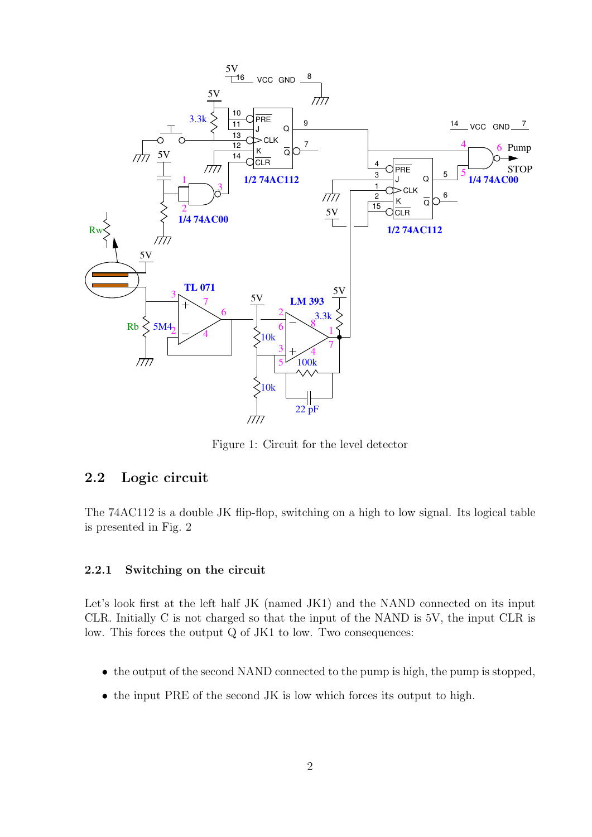

Figure 1: Circuit for the level detector

## 2.2 Logic circuit

The 74AC112 is a double JK flip-flop, switching on a high to low signal. Its logical table is presented in Fig. 2

#### 2.2.1 Switching on the circuit

Let's look first at the left half JK (named JK1) and the NAND connected on its input CLR. Initially C is not charged so that the input of the NAND is 5V, the input CLR is low. This forces the output Q of JK1 to low. Two consequences:

- the output of the second NAND connected to the pump is high, the pump is stopped,
- the input PRE of the second JK is low which forces its output to high.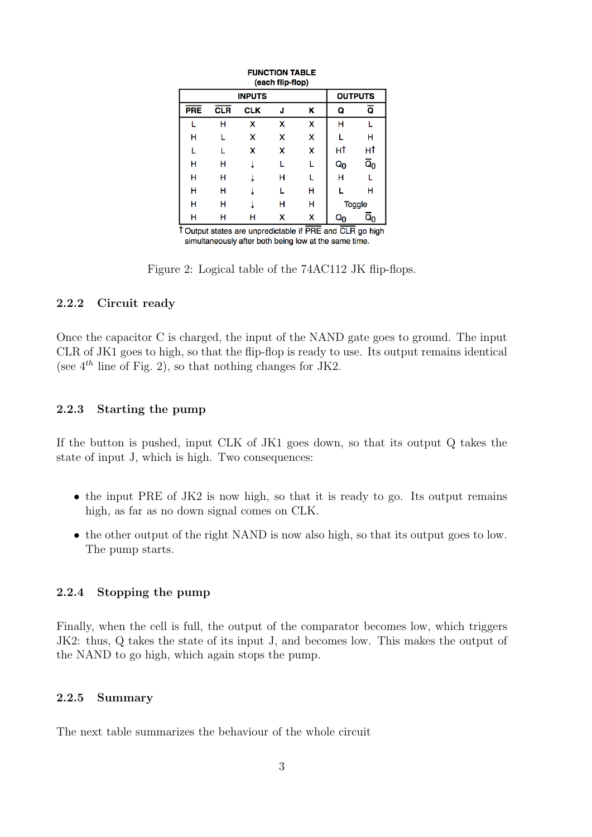| (each flip-flop)                                                   |               |                |   |   |               |                           |  |  |  |
|--------------------------------------------------------------------|---------------|----------------|---|---|---------------|---------------------------|--|--|--|
|                                                                    | <b>INPUTS</b> | <b>OUTPUTS</b> |   |   |               |                           |  |  |  |
| <b>PRE</b>                                                         | <b>CLR</b>    | <b>CLK</b>     | J | κ | Q             | ā                         |  |  |  |
|                                                                    | н             | x              | x | x | н             |                           |  |  |  |
| н                                                                  |               | x              | x | x |               | н                         |  |  |  |
|                                                                    |               | x              | x | x | нt            | нt                        |  |  |  |
| н                                                                  | н             |                |   |   | $Q_0$         | $\overline{\mathsf{Q}}_0$ |  |  |  |
| н                                                                  | н             |                | н | L | н             |                           |  |  |  |
| н                                                                  | н             |                |   | н |               | н                         |  |  |  |
| н                                                                  | н             |                | н | н | <b>Toggle</b> |                           |  |  |  |
| н                                                                  | н             | н              | x | x | Qn            | $\overline{\mathtt{Q}}_0$ |  |  |  |
| $\uparrow$ Output states are unprodictable if PPE and CLP go bight |               |                |   |   |               |                           |  |  |  |

**FUNCTION TABLE** 

T Output states are unpredictable if PRE and CLR go high simultaneously after both being low at the same time.

Figure 2: Logical table of the 74AC112 JK flip-flops.

### 2.2.2 Circuit ready

Once the capacitor C is charged, the input of the NAND gate goes to ground. The input CLR of JK1 goes to high, so that the flip-flop is ready to use. Its output remains identical (see  $4^{th}$  line of Fig. 2), so that nothing changes for JK2.

#### 2.2.3 Starting the pump

If the button is pushed, input CLK of JK1 goes down, so that its output Q takes the state of input J, which is high. Two consequences:

- the input PRE of JK2 is now high, so that it is ready to go. Its output remains high, as far as no down signal comes on CLK.
- the other output of the right NAND is now also high, so that its output goes to low. The pump starts.

#### 2.2.4 Stopping the pump

Finally, when the cell is full, the output of the comparator becomes low, which triggers JK2: thus, Q takes the state of its input J, and becomes low. This makes the output of the NAND to go high, which again stops the pump.

#### 2.2.5 Summary

The next table summarizes the behaviour of the whole circuit